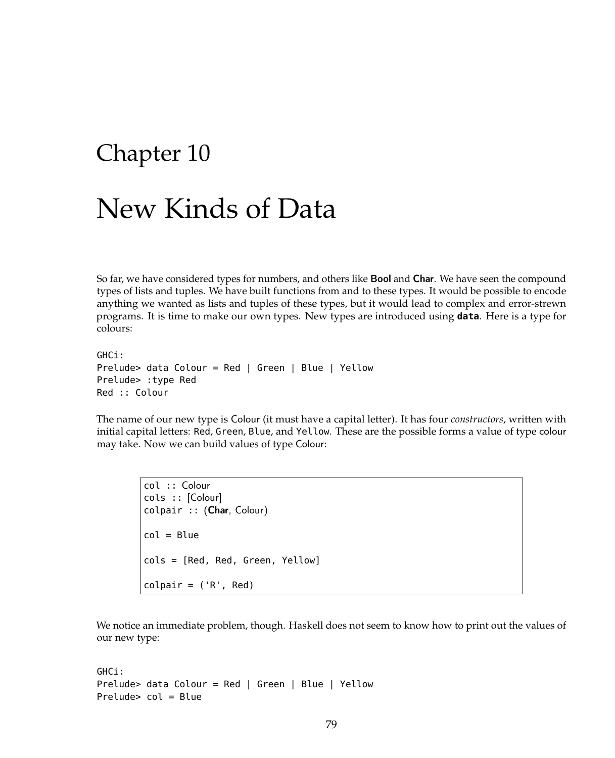## Chapter 10

## New Kinds of Data

So far, we have considered types for numbers, and others like **Bool** and **Char**. We have seen the compound types of lists and tuples. We have built functions from and to these types. It would be possible to encode anything we wanted as lists and tuples of these types, but it would lead to complex and error-strewn programs. It is time to make our own types. New types are introduced using **data**. Here is a type for colours:

GHCi: Prelude> data Colour = Red | Green | Blue | Yellow Prelude> :type Red Red :: Colour

The name of our new type is Colour (it must have a capital letter). It has four *constructors*, written with initial capital letters: Red, Green, Blue, and Yellow. These are the possible forms a value of type colour may take. Now we can build values of type Colour:

col :: Colour cols :: [Colour] colpair :: (Char, Colour)  $col = Blue$ cols = [Red, Red, Green, Yellow]  $colpair = ('R', Red)$ 

We notice an immediate problem, though. Haskell does not seem to know how to print out the values of our new type:

```
GHCi:
Prelude> data Colour = Red | Green | Blue | Yellow
Prelude> col = Blue
```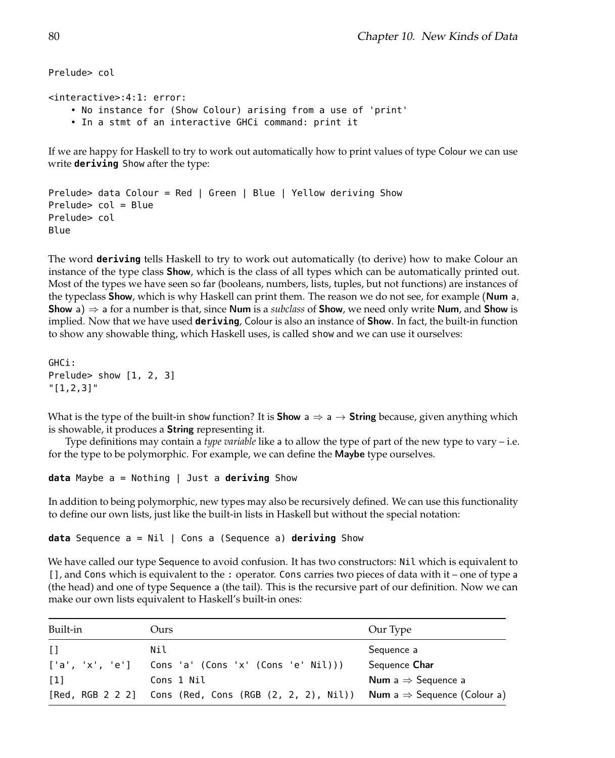```
Prelude> col
<interactive>:4:1: error:
    • No instance for (Show Colour) arising from a use of 'print'
    • In a stmt of an interactive GHCi command: print it
If we are happy for Haskell to try to work out automatically how to print values of type Colour we can use
write deriving Show after the type:
Prelude> data Colour = Red | Green | Blue | Yellow deriving Show
```

```
Prelude> col = Blue
Prelude> col
Blue
```
The word **deriving** tells Haskell to try to work out automatically (to derive) how to make Colour an instance of the type class Show, which is the class of all types which can be automatically printed out. Most of the types we have seen so far (booleans, numbers, lists, tuples, but not functions) are instances of the typeclass **Show**, which is why Haskell can print them. The reason we do not see, for example (Num a, Show a)  $\Rightarrow$  a for a number is that, since Num is a *subclass* of Show, we need only write Num, and Show is implied. Now that we have used **deriving**, Colour is also an instance of Show. In fact, the built-in function to show any showable thing, which Haskell uses, is called show and we can use it ourselves:

```
GHCi:
Prelude> show [1, 2, 3]
"[1,2,3]"
```
What is the type of the built-in show function? It is **Show**  $a \Rightarrow a \rightarrow$  **String** because, given anything which is showable, it produces a String representing it.

Type definitions may contain a *type variable* like a to allow the type of part of the new type to vary – i.e. for the type to be polymorphic. For example, we can define the Maybe type ourselves.

```
data Maybe a = Nothing | Just a deriving Show
```
In addition to being polymorphic, new types may also be recursively defined. We can use this functionality to define our own lists, just like the built-in lists in Haskell but without the special notation:

```
data Sequence a = Nil | Cons a (Sequence a) deriving Show
```
We have called our type Sequence to avoid confusion. It has two constructors: Nil which is equivalent to [], and Cons which is equivalent to the : operator. Cons carries two pieces of data with it – one of type a (the head) and one of type Sequence a (the tail). This is the recursive part of our definition. Now we can make our own lists equivalent to Haskell's built-in ones:

| Built-in          | Ours                                                                                              | Our Type                              |
|-------------------|---------------------------------------------------------------------------------------------------|---------------------------------------|
| $\Box$            | Nil                                                                                               | Sequence a                            |
| ['a', 'x', 'e']   | Cons 'a' (Cons 'x' (Cons 'e' Nil))                                                                | Sequence Char                         |
| $\lceil 1 \rceil$ | Cons 1 Nil                                                                                        | <b>Num</b> a $\Rightarrow$ Sequence a |
|                   | [Red, RGB 2 2 2] Cons (Red, Cons (RGB $(2, 2, 2)$ , Nil)) Num a $\Rightarrow$ Sequence (Colour a) |                                       |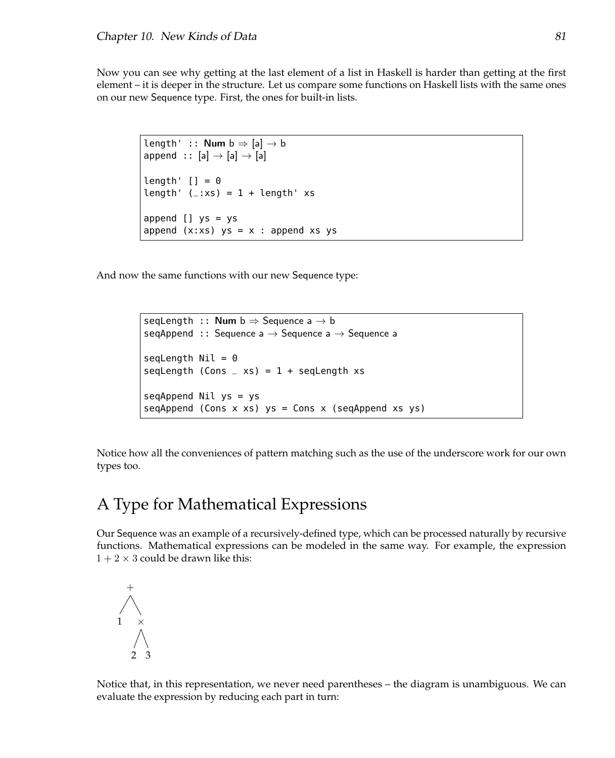Now you can see why getting at the last element of a list in Haskell is harder than getting at the first element – it is deeper in the structure. Let us compare some functions on Haskell lists with the same ones on our new Sequence type. First, the ones for built-in lists.

```
length' :: Num b \Rightarrow [a] \rightarrow bappend :: [a] \rightarrow [a] \rightarrow [a]length' [] = 0length' (\_:xs) = 1 + length' xsappend [] ys = ys
append (x:xs) ys = x : append xs ys
```
And now the same functions with our new Sequence type:

```
seqLength :: Num b \Rightarrow Sequence a \rightarrow bseqAppend :: Sequence a \rightarrow Sequence a \rightarrow Sequence a
seqLength Nil = 0seqLength (Cons = xs) = 1 + seqLength xs
seqAppend Nil ys = ys
segAppend (Cons x xs) ys = Cons x (segAppend xs ys)
```
Notice how all the conveniences of pattern matching such as the use of the underscore work for our own types too.

## A Type for Mathematical Expressions

Our Sequence was an example of a recursively-defined type, which can be processed naturally by recursive functions. Mathematical expressions can be modeled in the same way. For example, the expression  $1 + 2 \times 3$  could be drawn like this:



Notice that, in this representation, we never need parentheses – the diagram is unambiguous. We can evaluate the expression by reducing each part in turn: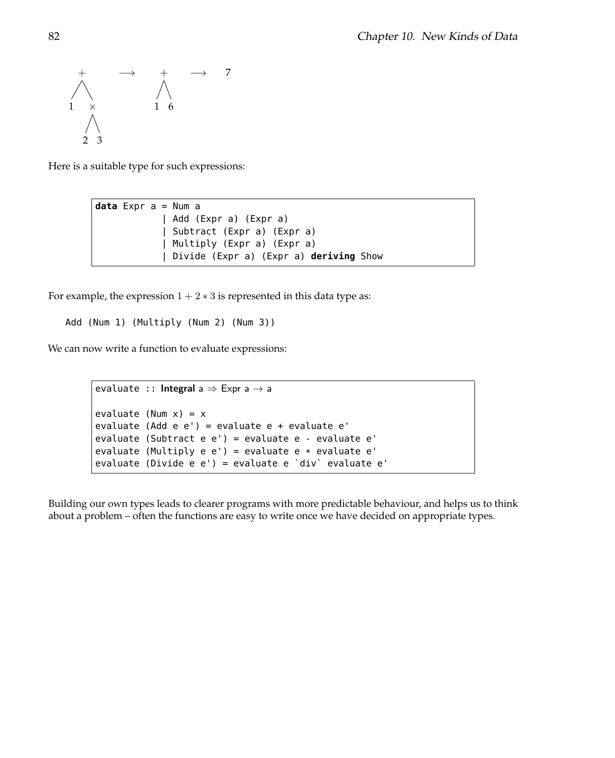

Here is a suitable type for such expressions:

```
data Expr a = Num a
            | Add (Expr a) (Expr a)
            | Subtract (Expr a) (Expr a)
            | Multiply (Expr a) (Expr a)
            | Divide (Expr a) (Expr a) deriving Show
```
For example, the expression  $1 + 2 * 3$  is represented in this data type as:

```
Add (Num 1) (Multiply (Num 2) (Num 3))
```
We can now write a function to evaluate expressions:

```
evaluate :: Integral a \Rightarrow Expr a \rightarrow aevaluate (Num x) = xevaluate (Add e e') = evaluate e + evaluate e'
evaluate (Subtract e e') = evaluate e - evaluate e'
evaluate (Multiply e e') = evaluate e * evaluate e'
evaluate (Divide e e') = evaluate e `div` evaluate e'
```
Building our own types leads to clearer programs with more predictable behaviour, and helps us to think about a problem – often the functions are easy to write once we have decided on appropriate types.